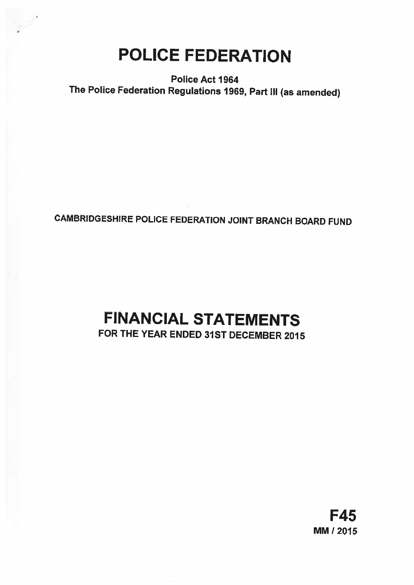# POLICE FEDERATION

Police Act 1964 The Police Federation Regulations 1969, Part Ill (as amended)

## CAMBRIDGESHIRE POLICE FEDERATION JOINT BRANCH BOARD FUND

# FINANCIAL STATEMENTS

## FOR THE YEAR ENDED 31ST DECEMBER 2015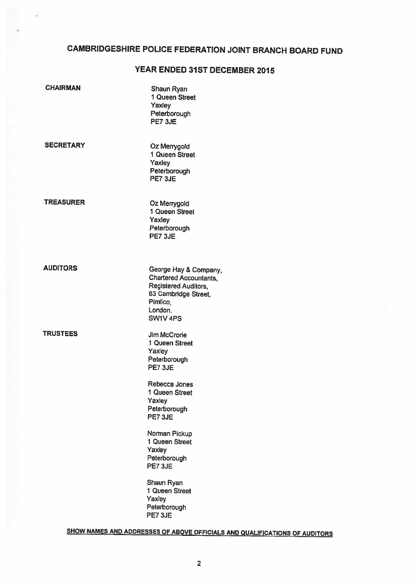## CAMBRIDGESHIRE POLICE FEDERATION JOINT BRANCH BOARD FUND

 $\overline{\psi}$ 

## YEAR ENDED 31ST DECEMBER 2015

| <b>CHAIRMAN</b>  | Shaun Ryan<br>1 Queen Street<br>Yaxley<br>Peterborough<br>PE7 3JE                                                                                           |
|------------------|-------------------------------------------------------------------------------------------------------------------------------------------------------------|
| <b>SECRETARY</b> | Oz Merrygold<br>1 Queen Street<br>Yaxley<br>Peterborough<br>PE7 3JE                                                                                         |
| <b>TREASURER</b> | Oz Merrygold<br>1 Queen Street<br>Yaxley<br>Peterborough<br>PE7 3JE                                                                                         |
| <b>AUDITORS</b>  | George Hay & Company,<br><b>Chartered Accountants,</b><br><b>Registered Auditors,</b><br>83 Cambridge Street,<br>Pimlico,<br>London.<br>SW1V <sub>4PS</sub> |
| <b>TRUSTEES</b>  | <b>Jim McCrorie</b><br>1 Queen Street<br>Yaxley<br>Peterborough<br>PE7 3JE<br>Rebecca Jones<br>1 Queen Street                                               |
|                  | Yaxley<br>Peterborough<br>PE7 3JE                                                                                                                           |
|                  | Norman Pickup<br>1 Queen Street<br>Yaxley<br>Peterborough<br>PE7 3JE                                                                                        |
|                  | Shaun Ryan<br>1 Queen Street<br>Yaxley<br>Peterborough<br>PE7 3JE                                                                                           |

## SHOW NAMES AND ADDRESSES OF ABOVE OFFICIALS AND QUALIFICATIONS OF AUDITORS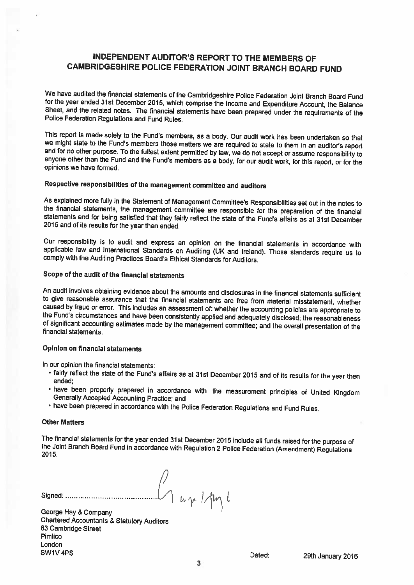## INDEPENDENT AUDITOR'S REPORT TO THE MEMBERS OF CAMBRIDGESHIRE POLICE FEDERATION JOINT BRANCH BOARD FUND

We have audited the financial statements of the Cambridgeshire Police Federation Joint Branch Board Fund<br>for the year ended 31st December 2015, which comprise the Income and Expenditure Account, the Balance Sheet, and the related notes. The financial statements have been prepared under the requirements of the Police Federation Requiations and Fund Rules.

This report is made solely to the Fund's members, as a body. Our audit work has been undertaken so that we might state to the Fund's members those matters we are required to state to them in an auditor's report and for no other purpose. To the fullest extent permitted by law, we do not accept or assume responsibility to anyone other than the Fund and the Fund's members as <sup>a</sup> body, for our audit work, for this report, or for the opinions we have formed.

## Respective responsibilities of the management committee and auditors

As explained more fully in the Statement of Management Committee's Responsibilities set out in the notes to the financial statements the management committee are responsible for the preparation of the financial statements and for being satisfied that they fairly reflect the state of the Fund's affairs as at 31st December <sup>2015</sup> and of its results for the year then ended.

Our responsibility is to audit and express an opinion on the financial statements in accordance with applicable law and International Standards on Auditing (UK and Ireland). Those standards require us to comply with the Auditing Practices Board's Ethical Standards for Auditors.

## Scope of the audit of the financial statements

An audit involves obtaining evidence about the amounts and disclosures in the financial statements sufficient<br>to give reasonable assurance that the financial statements are free from material misstatement, whether caused by fraud or error. This includes an assessment of: whether the accounting policies are appropriate to the Fund's circumstances and have been consistently applied and adequately disclosed; the reasonableness of signi

## Opinion on financial statements

In our opinion the financial statements:

- fairly reflect the state of the Fund's affairs as at 31st December 2015 and of its results for the year then<br>ended;
- have been properly prepared in accordance with the measurement principles of United Kingdom<br>Generally Accepted Accounting Practice; and
- have been prepared in accordance with the Police Federation Regulations and Fund Rules.

#### **Other Matters**

The financial statements for the year ended 31st December <sup>2015</sup> include all funds raised for the purpose of the Joint Branch Board Fund in accordance with Regulation <sup>2</sup> Police Federation (Amendment) Regulations 2015,

Signed:  $\mu_{\gamma}$  /  $\mu_{\gamma}$  /  $\mu_{\gamma}$  /  $\mu_{\gamma}$  /

George Hay & Company Chartered Accountants & Statutory Auditors 83 Cambridge Street Pimlico London SW1V4PS **Dated:** 29th January 2016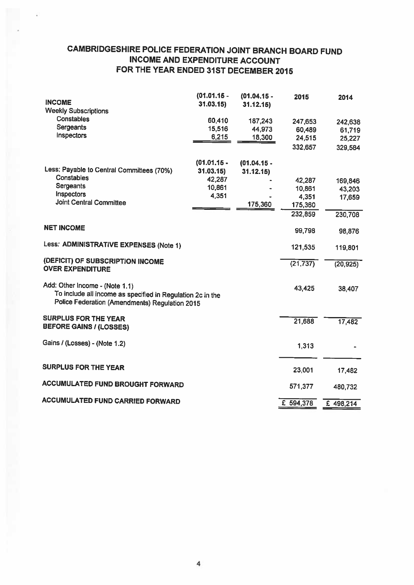## CAMBRIDGESHIRE POLICE FEDERATION JOINT BRANCH BOARD FUND INCOME AND EXPENDITURE ACCOUNT FOR THE YEAR ENDED 31ST DECEMBER 2015

| <b>INCOME</b>                                                                                                                                  | $(01.01.15 -$<br>31.03.15 | $(01.04.15 -$<br>31.12.15 | 2015      | 2014      |
|------------------------------------------------------------------------------------------------------------------------------------------------|---------------------------|---------------------------|-----------|-----------|
| <b>Weekly Subscriptions</b>                                                                                                                    |                           |                           |           |           |
| <b>Constables</b>                                                                                                                              | 60,410                    | 187,243                   | 247,653   | 242,638   |
| Sergeants                                                                                                                                      | 15,516                    | 44,973                    | 60,489    | 61,719    |
| <b>Inspectors</b>                                                                                                                              | 6,215                     | 18,300                    | 24,515    | 25,227    |
|                                                                                                                                                |                           |                           | 332,657   | 329,584   |
|                                                                                                                                                |                           |                           |           |           |
|                                                                                                                                                | $(01.01.15 -$             | $(01.04.15 -$             |           |           |
| Less: Payable to Central Committees (70%)                                                                                                      | 31.03.15                  | 31.12.15)                 |           |           |
| <b>Constables</b>                                                                                                                              | 42,287                    |                           | 42,287    | 169,846   |
| Sergeants                                                                                                                                      | 10,861                    |                           | 10,861    | 43,203    |
| Inspectors                                                                                                                                     | 4,351                     |                           | 4,351     | 17,659    |
| Joint Central Committee                                                                                                                        |                           | 175,360                   | 175,360   |           |
|                                                                                                                                                |                           |                           | 232,859   | 230,708   |
|                                                                                                                                                |                           |                           |           |           |
| <b>NET INCOME</b>                                                                                                                              |                           |                           | 99,798    | 98,876    |
| Less: ADMINISTRATIVE EXPENSES (Note 1)                                                                                                         |                           |                           | 121,535   | 119,801   |
|                                                                                                                                                |                           |                           |           |           |
| (DEFICIT) OF SUBSCRIPTION INCOME<br><b>OVER EXPENDITURE</b>                                                                                    |                           |                           | (21, 737) | (20, 925) |
| Add: Other Income - (Note 1.1)<br>To include all income as specified in Regulation 2c in the<br>Police Federation (Amendments) Regulation 2015 |                           |                           | 43,425    | 38,407    |
| <b>SURPLUS FOR THE YEAR</b>                                                                                                                    |                           |                           |           |           |
| <b>BEFORE GAINS / (LOSSES)</b>                                                                                                                 |                           |                           | 21,688    | 17,482    |
| Gains / (Losses) - (Note 1.2)                                                                                                                  |                           |                           |           |           |
|                                                                                                                                                |                           |                           | 1,313     |           |
| <b>SURPLUS FOR THE YEAR</b>                                                                                                                    |                           |                           |           |           |
|                                                                                                                                                |                           |                           | 23,001    | 17,482    |
| <b>ACCUMULATED FUND BROUGHT FORWARD</b>                                                                                                        |                           |                           | 571,377   | 480,732   |
| <b>ACCUMULATED FUND CARRIED FORWARD</b>                                                                                                        |                           |                           | £ 594,378 | £498,214  |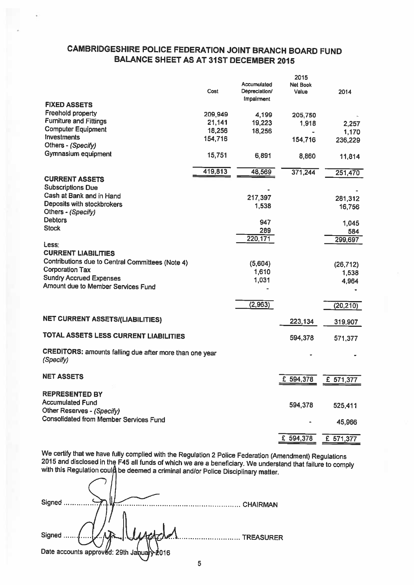## CAMBRIDGESHIRE POLICE FEDERATION JOINT BRANCH BOARD FUND BALANCE SHEET AS AT 31ST DECEMBER 2015

|                                                         |         | Accumulated   | 2015<br><b>Net Book</b> |           |
|---------------------------------------------------------|---------|---------------|-------------------------|-----------|
|                                                         | Cost    | Depreciation/ | Value                   | 2014      |
| <b>FIXED ASSETS</b>                                     |         | Impairment    |                         |           |
| Freehold property                                       | 209,949 | 4,199         | 205,750                 |           |
| <b>Furniture and Fittings</b>                           | 21,141  | 19,223        | 1,918                   | 2,257     |
| <b>Computer Equipment</b>                               | 18,256  | 18,256        |                         | 1,170     |
| Investments                                             | 154,716 |               | 154,716                 | 236,229   |
| Others - (Specify)                                      |         |               |                         |           |
| Gymnasium equipment                                     | 15,751  | 6,891         | 8,860                   | 11,814    |
|                                                         | 419,813 | 48,569        | 371,244                 | 251,470   |
| <b>CURRENT ASSETS</b>                                   |         |               |                         |           |
| <b>Subscriptions Due</b>                                |         |               |                         |           |
| Cash at Bank and in Hand                                |         | 217,397       |                         | 281,312   |
| Deposits with stockbrokers                              |         | 1,538         |                         | 16,756    |
| Others - (Specify)                                      |         |               |                         |           |
| <b>Debtors</b>                                          |         | 947           |                         | 1,045     |
| <b>Stock</b>                                            |         | 289           |                         | 584       |
|                                                         |         | 220,171       |                         | 299,697   |
| Less:<br><b>CURRENT LIABILITIES</b>                     |         |               |                         |           |
| Contributions due to Central Committees (Note 4)        |         |               |                         |           |
| <b>Corporation Tax</b>                                  |         | (5,604)       |                         | (26, 712) |
| <b>Sundry Accrued Expenses</b>                          |         | 1,610         |                         | 1,538     |
| Amount due to Member Services Fund                      |         | 1,031         |                         | 4,964     |
|                                                         |         |               |                         |           |
|                                                         |         | (2, 963)      |                         | (20, 210) |
|                                                         |         |               |                         |           |
| <b>NET CURRENT ASSETS/(LIABILITIES)</b>                 |         |               | 223,134                 | 319,907   |
| TOTAL ASSETS LESS CURRENT LIABILITIES                   |         |               | 594,378                 | 571,377   |
| CREDITORS: amounts falling due after more than one year |         |               |                         |           |
| (Specify)                                               |         |               |                         |           |
| <b>NET ASSETS</b>                                       |         |               |                         |           |
|                                                         |         |               | £ 594,378               | £ 571,377 |
| <b>REPRESENTED BY</b>                                   |         |               |                         |           |
| <b>Accumulated Fund</b>                                 |         |               |                         |           |
| Other Reserves - (Specify)                              |         |               | 594,378                 | 525,411   |
| <b>Consolidated from Member Services Fund</b>           |         |               |                         | 45,966    |
|                                                         |         |               |                         |           |
|                                                         |         |               | £ 594,378               | £ 571,377 |
|                                                         |         |               |                         |           |

We certify that we have fully complied with the Regulation 2 Police Federation (Amendment) Regulations<br>2015 and disclosed in the F45 all funds of which we are a beneficiary. We understand that failure to comply<br>with this R

| Signed                                    | <b>CHAIRMAN</b>  |
|-------------------------------------------|------------------|
|                                           |                  |
| Signed                                    | <b>TREASURER</b> |
| Date accounts approved: 29th January 2016 |                  |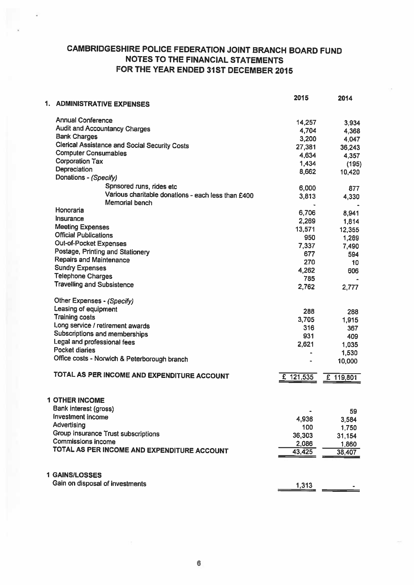## CAMBRIDGESHIRE POLICE FEDERATION JOINT BRANCH BOARD FUND NOTES TO THE FINANCIAL STATEMENTS FOR THE YEAR ENDED 31ST DECEMBER 2015

|                                                      | 2015      | 2014            |
|------------------------------------------------------|-----------|-----------------|
| 1. ADMINISTRATIVE EXPENSES                           |           |                 |
| Annual Conference                                    | 14,257    |                 |
| <b>Audit and Accountancy Charges</b>                 | 4,704     | 3,934           |
| <b>Bank Charges</b>                                  | 3,200     | 4,368<br>4,047  |
| <b>Clerical Assistance and Social Security Costs</b> | 27,381    | 36,243          |
| <b>Computer Consumables</b>                          | 4,634     |                 |
| <b>Corporation Tax</b>                               | 1,434     | 4,357           |
| Depreciation                                         | 8,662     | (195)<br>10,420 |
| Donations - (Specify)                                |           |                 |
| Spnsored runs, rides etc                             | 6,000     | 877             |
| Various charitable donations - each less than £400   | 3,813     | 4,330           |
| Memorial bench                                       |           |                 |
| Honoraria                                            | 6,706     | 8,941           |
| Insurance                                            | 2,269     | 1,814           |
| <b>Meeting Expenses</b>                              | 13,571    | 12,355          |
| <b>Official Publications</b>                         | 950       | 1,289           |
| Out-of-Pocket Expenses                               | 7,337     | 7,490           |
| Postage, Printing and Stationery                     | 677       | 594             |
| <b>Repairs and Maintenance</b>                       | 270       | 10              |
| <b>Sundry Expenses</b>                               | 4,262     | 606             |
| <b>Telephone Charges</b>                             | 785       |                 |
| <b>Travelling and Subsistence</b>                    | 2,762     | 2,777           |
| Other Expenses - (Specify)                           |           |                 |
| Leasing of equipment                                 | 288       | 288             |
| <b>Training costs</b>                                | 3,705     | 1,915           |
| Long service / retirement awards                     | 316       | 367             |
| Subscriptions and memberships                        | 931       | 409             |
| Legal and professional fees                          | 2,621     | 1,035           |
| Pocket diaries                                       |           | 1,530           |
| Office costs - Norwich & Peterborough branch         |           | 10,000          |
| TOTAL AS PER INCOME AND EXPENDITURE ACCOUNT          |           |                 |
|                                                      | £ 121,535 | £ 119,801       |
| <b>1 OTHER INCOME</b>                                |           |                 |
| Bank interest (gross)                                |           |                 |
| Investment income                                    |           | 59              |
| Advertising                                          | 4,936     | 3,584           |
| Group Insurance Trust subscriptions                  | 100       | 1,750           |
| <b>Commissions income</b>                            | 36,303    | 31,154          |
| TOTAL AS PER INCOME AND EXPENDITURE ACCOUNT          | 2,086     | 1,860           |
|                                                      | 43,425    | 38,407          |
| <b>1 GAINS/LOSSES</b>                                |           |                 |
| Gain on disposal of investments                      | 1,313     |                 |
|                                                      |           |                 |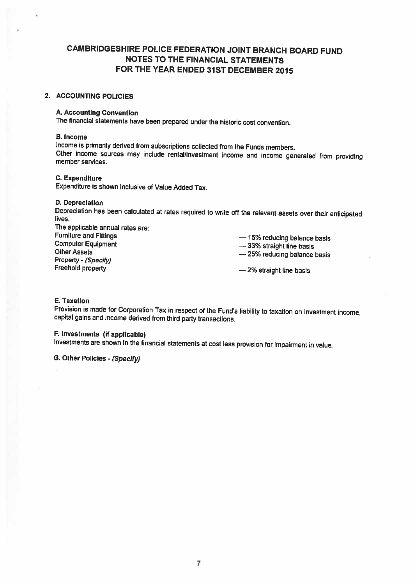## CAMBRIDGESHIRE POLICE FEDERATION JOINT BRANCH BOARD FUND NOTES TO THE FINANCIAL STATEMENTS FOR THE YEAR ENDED 31ST DECEMBER 2015

## 2. ACCOUNTING POLICIES

## A. Accounting Convention

The financial statements have been prepared under the historic cost convention.

#### B. Income

Income is primarily derived from subscriptions collected from the Funds members. Other income sources may include rental/investment income and income generated from providing member services.

## C. Expenditure

Expenditure is shown inclusive of Value Added Tax.

### D. Depreciation

Depreciation has been calculated at rates required to write off the relevant assets over their anticipated lives.

| The applicable annual rates are: |                              |
|----------------------------------|------------------------------|
| <b>Furniture and Fittings</b>    | - 15% reducing balance basis |
| <b>Computer Equipment</b>        | -33% straight line basis     |
| <b>Other Assets</b>              | -25% reducing balance basis  |
| Property - (Specify)             |                              |
| Freehold property                | $-2\%$ straight line basis   |

## E. Taxation

Provision is made for Corporation Tax in respect of the Fund's liability to taxation on investment income, capital gains and income derived from third party transactions.

## F. Investments (if applicable)

Investments are shown in the financial statements at cost less provision for impairment in value.

G. Other Policies - (Specify)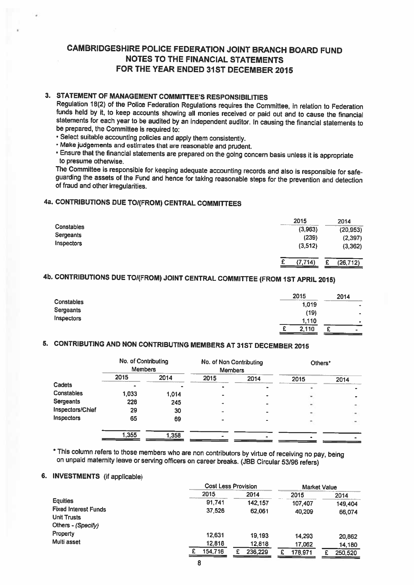## CAMBRIDGESHIRE POLICE FEDERATION JOINT BRANCH BOARD FUND NOTES TO THE FINANCIAL STATEMENTS FOR THE YEAR ENDED 31ST DECEMBER 2015

## 3. STATEMENT OF MANAGEMENT COMMITTEE'S RESPONSIBILITIES

Regulation 18(2) of the Police Federation Regulations requires the Committee, in relation to Federation funds held by it, to keep accounts showing all monies received or paid out and to cause the financial statements for each year to be audited by an independent auditor. In causing the financial statements to be prepared, the Committee is required to:

• Select suitable accounting policies and apply them consistently.

• Make judgements and estimates that are reasonable and prudent.

• Ensure that the financial statements are prepared on the going concern basis unless it is appropriate to presume otherwise.<br>The Committee is responsible for keeping adequate accounting records and also is responsible for safe-

guarding the assets of the Fund and hence for taking reasonable steps for the prevention and detection<br>of fraud and other irreqularities.

## 4a. CONTRIBUTIONS DUE TOI(FROM) CENTRAL COMMITTEES

|            | 2015     | 2014           |
|------------|----------|----------------|
| Constables | (3,963)  | (20, 953)      |
| Sergeants  | (239)    | (2, 397)       |
| Inspectors | (3, 512) | (3, 362)       |
|            | (7, 714) | (26, 712)<br>£ |

## 4b. CONTRIBUTIONS DUE TO/(FROM) JOINT CENTRAL COMMITTEE (FROM 1ST APRIL 2015)

|            | 2015                       | 2014            |
|------------|----------------------------|-----------------|
| Constables | <b>STATISTICS</b><br>1,019 | $\blacksquare$  |
| Sergeants  | (19)                       | ۰               |
| Inspectors | 1,110                      | ۰               |
|            | 2,110<br>F                 | ℯ<br><b>ALC</b> |

## 5. CONTRIBUTING AND NON CONTRIBUTING MEMBERS AT 31ST DECEMBER <sup>2015</sup>

|                   | No. of Contributing<br><b>Members</b> |       | No. of Non Contributing<br><b>Members</b> |      | Others* |      |
|-------------------|---------------------------------------|-------|-------------------------------------------|------|---------|------|
|                   | 2015                                  | 2014  | 2015                                      | 2014 | 2015    | 2014 |
| Cadets            |                                       |       | -                                         |      |         |      |
| Constables        | 1.033                                 | 1,014 |                                           |      |         |      |
| Sergeants         | 228                                   | 245   |                                           |      |         |      |
| Inspectors/Chief  | 29                                    | 30    |                                           |      |         | ۰    |
| <b>Inspectors</b> | 65                                    | 69    |                                           |      |         |      |
|                   |                                       |       |                                           |      |         |      |
|                   | 1,355                                 | 1,358 |                                           |      |         |      |

\* This column refers to those members who are non contributors by virtue of receiving no pay, being on unpaid maternity leave or serving officers on career breaks. (JBB Circular 53/96 refers)

### 6. INVESTMENTS (if applicable)

|                                                   |         | <b>Cost Less Provision</b> |         | <b>Market Value</b> |  |
|---------------------------------------------------|---------|----------------------------|---------|---------------------|--|
|                                                   | 2015    | 2014                       | 2015    | 2014                |  |
| <b>Equities</b>                                   | 91,741  | 142.157                    | 107,407 | 149,404             |  |
| <b>Fixed Interest Funds</b><br><b>Unit Trusts</b> | 37,526  | 62,061                     | 40,209  | 66,074              |  |
| Others - (Specify)                                |         |                            |         |                     |  |
| Property                                          | 12,631  | 19,193                     | 14,293  | 20,862              |  |
| Multi asset                                       | 12,818  | 12,818                     | 17,062  | 14,180              |  |
|                                                   | 154,716 | 236,229                    | 178,971 | 250,520             |  |